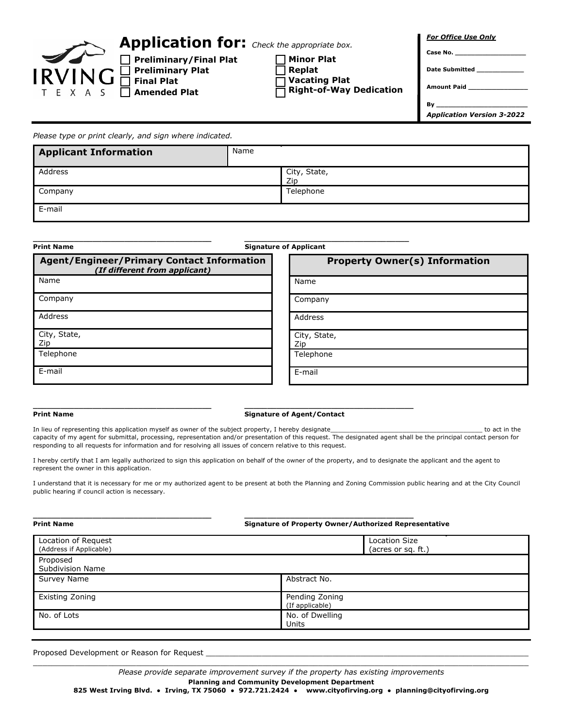

**Preliminary/Final Plat Preliminary Plat Final Plat Amended Plat** 

**Application for:** *Check the appropriate box.*

**Minor Plat**

**Replat**

**Vacating Plat Right-of-Way Dedication** *For Office Use Only*

**Date Submitted \_\_\_\_\_\_\_\_\_\_\_\_**

**Amount Paid \_\_\_\_\_\_\_\_\_\_\_\_\_\_\_** 

**Case No. \_\_\_\_\_\_\_\_\_\_\_\_\_\_\_\_\_\_**

**By \_\_\_\_\_\_\_\_\_\_\_\_\_\_\_\_\_\_\_\_\_\_\_**  *Application Version 3-2022*

*Please type or print clearly, and sign where indicated.*

| <b>Applicant Information</b> | Name |                     |
|------------------------------|------|---------------------|
| Address                      |      | City, State,<br>Zip |
| Company                      |      | Telephone           |
| E-mail                       |      |                     |

| <b>Print Name</b>                                                                  | <b>Signature of Applicant</b>        |  |  |
|------------------------------------------------------------------------------------|--------------------------------------|--|--|
| <b>Agent/Engineer/Primary Contact Information</b><br>(If different from applicant) | <b>Property Owner(s) Information</b> |  |  |
| Name                                                                               | Name                                 |  |  |
| Company                                                                            | Company                              |  |  |
| Address                                                                            | Address                              |  |  |
| City, State,<br>Zip                                                                | City, State,<br>Zip                  |  |  |
| Telephone                                                                          | Telephone                            |  |  |
| E-mail                                                                             | E-mail                               |  |  |

## **\_\_\_\_\_\_\_\_\_\_\_\_\_\_\_\_\_\_\_\_\_\_\_\_\_\_\_\_\_\_\_\_\_\_\_\_\_\_\_ \_\_\_\_\_\_\_\_\_\_\_\_\_\_\_\_\_\_\_\_\_\_\_\_\_\_\_\_\_\_\_\_\_\_\_\_\_ Print Name Signature of Agent/Contact**

In lieu of representing this application myself as owner of the subject property, I hereby designate\_\_\_\_\_\_\_\_\_\_\_\_\_\_\_\_\_\_\_\_\_\_\_\_\_\_\_\_\_\_\_\_\_\_\_\_\_\_\_\_ to act in the capacity of my agent for submittal, processing, representation and/or presentation of this request. The designated agent shall be the principal contact person for responding to all requests for information and for resolving all issues of concern relative to this request.

I hereby certify that I am legally authorized to sign this application on behalf of the owner of the property, and to designate the applicant and the agent to represent the owner in this application.

I understand that it is necessary for me or my authorized agent to be present at both the Planning and Zoning Commission public hearing and at the City Council public hearing if council action is necessary.

| <b>Print Name</b>                              | Signature of Property Owner/Authorized Representative |                                      |  |  |
|------------------------------------------------|-------------------------------------------------------|--------------------------------------|--|--|
| Location of Request<br>(Address if Applicable) |                                                       | <b>Location Size</b><br>(Licresロ 皿.) |  |  |
| Proposed<br>Subdivision Name                   |                                                       |                                      |  |  |
| Survey Name                                    | Abstract No.                                          |                                      |  |  |
| Existing Zoning                                | Pending Zoning<br>(If applicable)                     |                                      |  |  |
| No. of Lots                                    | No. of Dwelling<br>Units                              |                                      |  |  |

Proposed Development or Reason for Request

\_\_\_\_\_\_\_\_\_\_\_\_\_\_\_\_\_\_\_\_\_\_\_\_\_\_\_\_\_\_\_\_\_\_\_\_\_\_\_\_\_\_\_\_\_\_\_\_\_\_\_\_\_\_\_\_\_\_\_\_\_\_\_\_\_\_\_\_\_\_\_\_\_\_\_\_\_\_\_\_\_\_\_\_\_\_\_\_\_\_\_\_\_\_\_\_\_\_\_\_\_\_\_\_\_\_